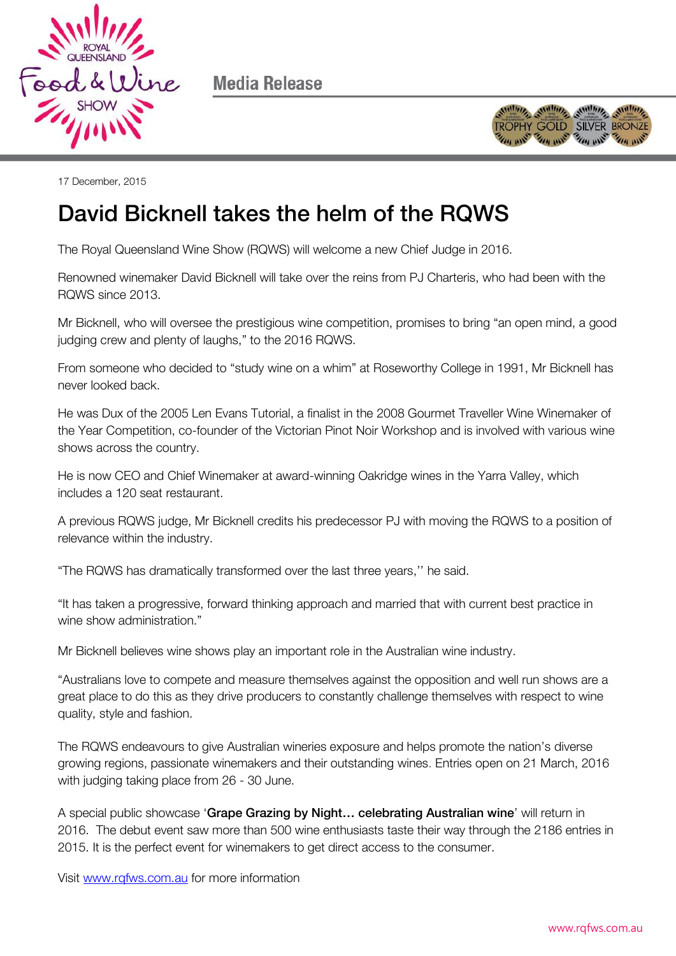

Media Release



17 December, 2015

## david Bicknell takes the helm of the RQWS the RQWS the RQWS the RQWS the RQWS the RQWS the RQWS the RQWS the RQWS the RQWS the RQWS the RQWS the RQWS the RQWS the RQWS the RQWS the RQWS the RQWS the RQWS the RQWS the RQWS

The Royal Queensland Wine Show (RQWS) will welcome a new Chief Judge in 2016.

Renowned winemaker David Bicknell will take over the reins from PJ Charteris, who had been with the RQWS since 2013.

Mr Bicknell, who will oversee the prestigious wine competition, promises to bring "an open mind, a good judging crew and plenty of laughs," to the 2016 RQWS.

From someone who decided to "study wine on a whim" at Roseworthy College in 1991, Mr Bicknell has never looked back.

He was Dux of the 2005 Len Evans Tutorial, a finalist in the 2008 Gourmet Traveller Wine Winemaker of the Year Competition, co-founder of the Victorian Pinot Noir Workshop and is involved with various wine shows across the country.

He is now CEO and Chief Winemaker at award-winning Oakridge wines in the Yarra Valley, which includes a 120 seat restaurant.

A previous RQWS judge, Mr Bicknell credits his predecessor PJ with moving the RQWS to a position of relevance within the industry.

"The RQWS has dramatically transformed over the last three years,'' he said.

"It has taken a progressive, forward thinking approach and married that with current best practice in wine show administration."

Mr Bicknell believes wine shows play an important role in the Australian wine industry.

"Australians love to compete and measure themselves against the opposition and well run shows are a great place to do this as they drive producers to constantly challenge themselves with respect to wine quality, style and fashion.

The RQWS endeavours to give Australian wineries exposure and helps promote the nation's diverse growing regions, passionate winemakers and their outstanding wines. Entries open on 21 March, 2016 with judging taking place from 26 - 30 June.

A special public showcase 'Grape Grazing by Night… celebrating Australian wine' will return in 2016. The debut event saw more than 500 wine enthusiasts taste their way through the 2186 entries in 2015. It is the perfect event for winemakers to get direct access to the consumer.

Visit [www.rqfws.com.au](http://www.rqfws.com.au/) for more information